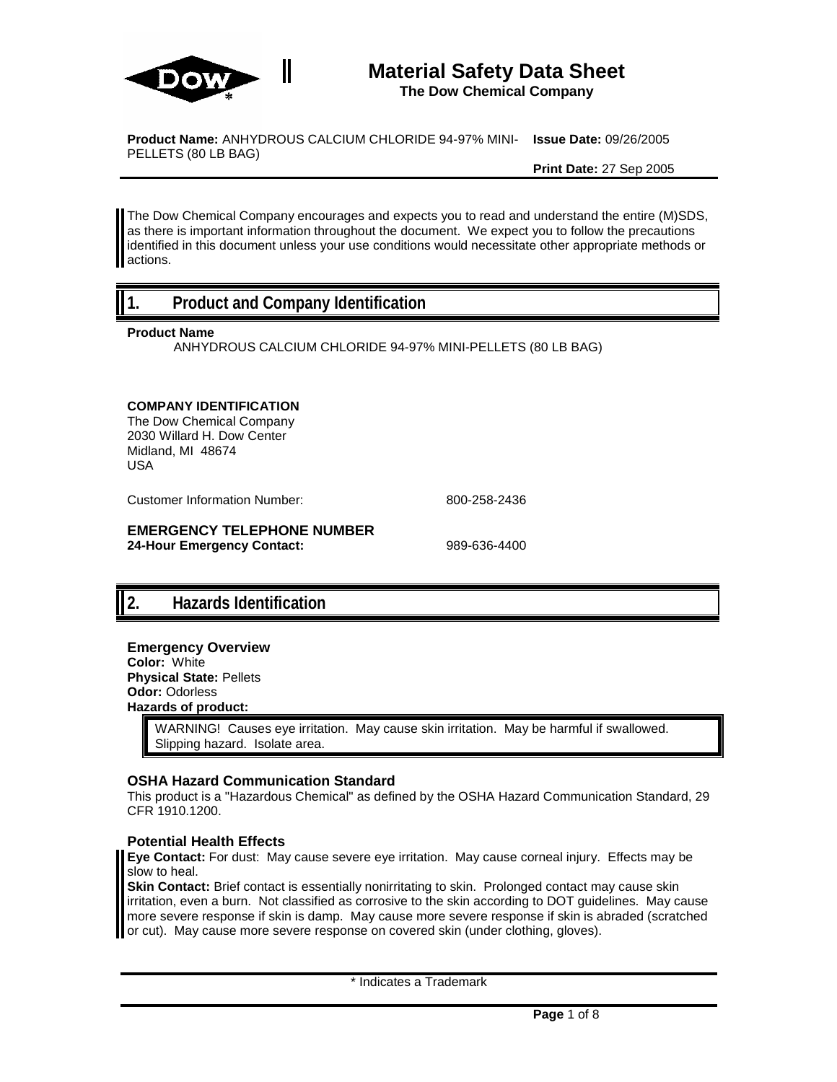

PELLETS (80 LB BAG)

### **Material Safety Data Sheet The Dow Chemical Company**

**Product Name:** ANHYDROUS CALCIUM CHLORIDE 94-97% MINI-**Issue Date:** 09/26/2005

**Print Date:** 27 Sep 2005

The Dow Chemical Company encourages and expects you to read and understand the entire (M)SDS, as there is important information throughout the document. We expect you to follow the precautions identified in this document unless your use conditions would necessitate other appropriate methods or actions.

## **1. Product and Company Identification**

**Product Name**

ANHYDROUS CALCIUM CHLORIDE 94-97% MINI-PELLETS (80 LB BAG)

#### **COMPANY IDENTIFICATION**

The Dow Chemical Company 2030 Willard H. Dow Center Midland, MI 48674 USA

Customer Information Number: 800-258-2436

#### **EMERGENCY TELEPHONE NUMBER 24-Hour Emergency Contact:** 989-636-4400

## **2. Hazards Identification**

### **Emergency Overview**

**Color:** White **Physical State:** Pellets **Odor:** Odorless **Hazards of product:**

> WARNING! Causes eye irritation. May cause skin irritation. May be harmful if swallowed. Slipping hazard. Isolate area.

### **OSHA Hazard Communication Standard**

This product is a "Hazardous Chemical" as defined by the OSHA Hazard Communication Standard, 29 CFR 1910.1200.

#### **Potential Health Effects**

**Eye Contact:** For dust: May cause severe eye irritation. May cause corneal injury. Effects may be slow to heal.

**Skin Contact:** Brief contact is essentially nonirritating to skin. Prolonged contact may cause skin irritation, even a burn. Not classified as corrosive to the skin according to DOT guidelines. May cause more severe response if skin is damp. May cause more severe response if skin is abraded (scratched or cut). May cause more severe response on covered skin (under clothing, gloves).

\* Indicates a Trademark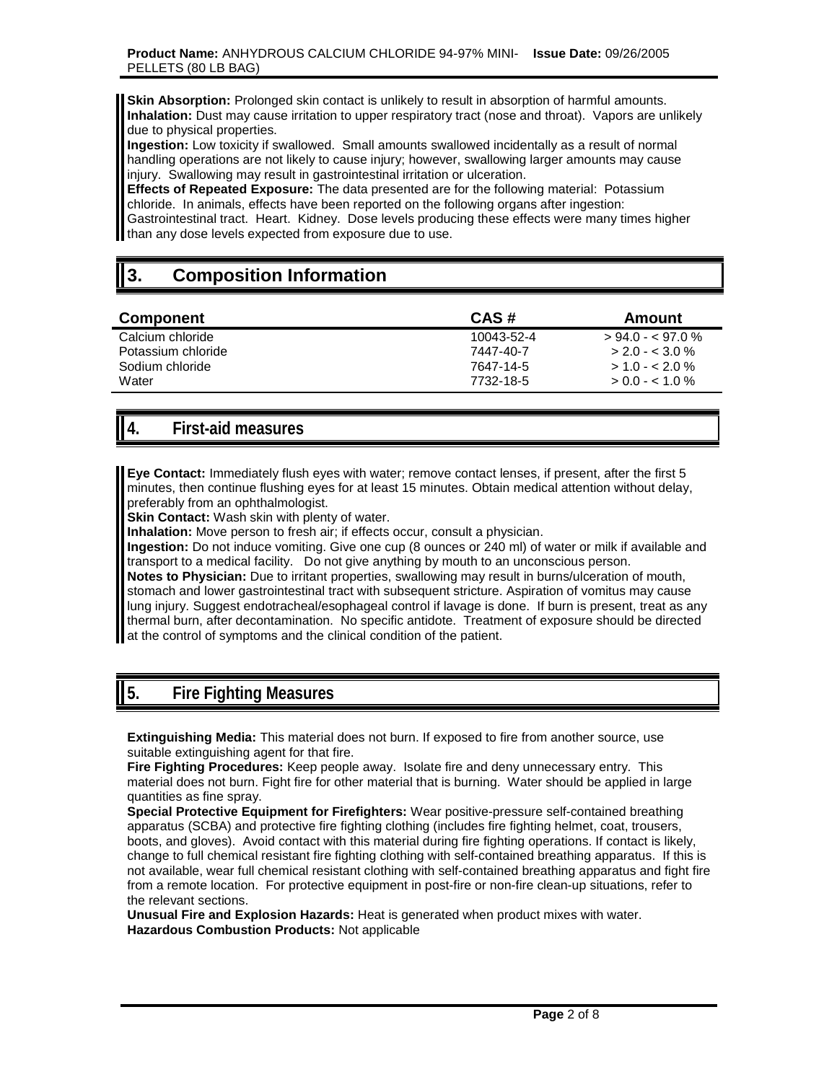**Skin Absorption:** Prolonged skin contact is unlikely to result in absorption of harmful amounts. **Inhalation:** Dust may cause irritation to upper respiratory tract (nose and throat). Vapors are unlikely due to physical properties.

**Ingestion:** Low toxicity if swallowed. Small amounts swallowed incidentally as a result of normal handling operations are not likely to cause injury; however, swallowing larger amounts may cause injury. Swallowing may result in gastrointestinal irritation or ulceration.

**Effects of Repeated Exposure:** The data presented are for the following material: Potassium chloride. In animals, effects have been reported on the following organs after ingestion: Gastrointestinal tract. Heart. Kidney. Dose levels producing these effects were many times higher than any dose levels expected from exposure due to use.

# **3. Composition Information**

| <b>Component</b>   | CAS#       | Amount            |
|--------------------|------------|-------------------|
| Calcium chloride   | 10043-52-4 | $> 94.0 - 97.0$ % |
| Potassium chloride | 7447-40-7  | $> 2.0 - 3.0 \%$  |
| Sodium chloride    | 7647-14-5  | $> 1.0 - 2.0 \%$  |
| Water              | 7732-18-5  | $> 0.0 - 1.0 \%$  |

## **4. First-aid measures**

**Eye Contact:** Immediately flush eyes with water; remove contact lenses, if present, after the first 5 minutes, then continue flushing eyes for at least 15 minutes. Obtain medical attention without delay, preferably from an ophthalmologist.

**Skin Contact:** Wash skin with plenty of water.

**Inhalation:** Move person to fresh air; if effects occur, consult a physician.

**Ingestion:** Do not induce vomiting. Give one cup (8 ounces or 240 ml) of water or milk if available and transport to a medical facility. Do not give anything by mouth to an unconscious person.

**Notes to Physician:** Due to irritant properties, swallowing may result in burns/ulceration of mouth, stomach and lower gastrointestinal tract with subsequent stricture. Aspiration of vomitus may cause lung injury. Suggest endotracheal/esophageal control if lavage is done. If burn is present, treat as any thermal burn, after decontamination. No specific antidote. Treatment of exposure should be directed at the control of symptoms and the clinical condition of the patient.

## **5. Fire Fighting Measures**

**Extinguishing Media:** This material does not burn. If exposed to fire from another source, use suitable extinguishing agent for that fire.

**Fire Fighting Procedures:** Keep people away. Isolate fire and deny unnecessary entry. This material does not burn. Fight fire for other material that is burning. Water should be applied in large quantities as fine spray.

**Special Protective Equipment for Firefighters:** Wear positive-pressure self-contained breathing apparatus (SCBA) and protective fire fighting clothing (includes fire fighting helmet, coat, trousers, boots, and gloves). Avoid contact with this material during fire fighting operations. If contact is likely, change to full chemical resistant fire fighting clothing with self-contained breathing apparatus. If this is not available, wear full chemical resistant clothing with self-contained breathing apparatus and fight fire from a remote location. For protective equipment in post-fire or non-fire clean-up situations, refer to the relevant sections.

**Unusual Fire and Explosion Hazards:** Heat is generated when product mixes with water. **Hazardous Combustion Products:** Not applicable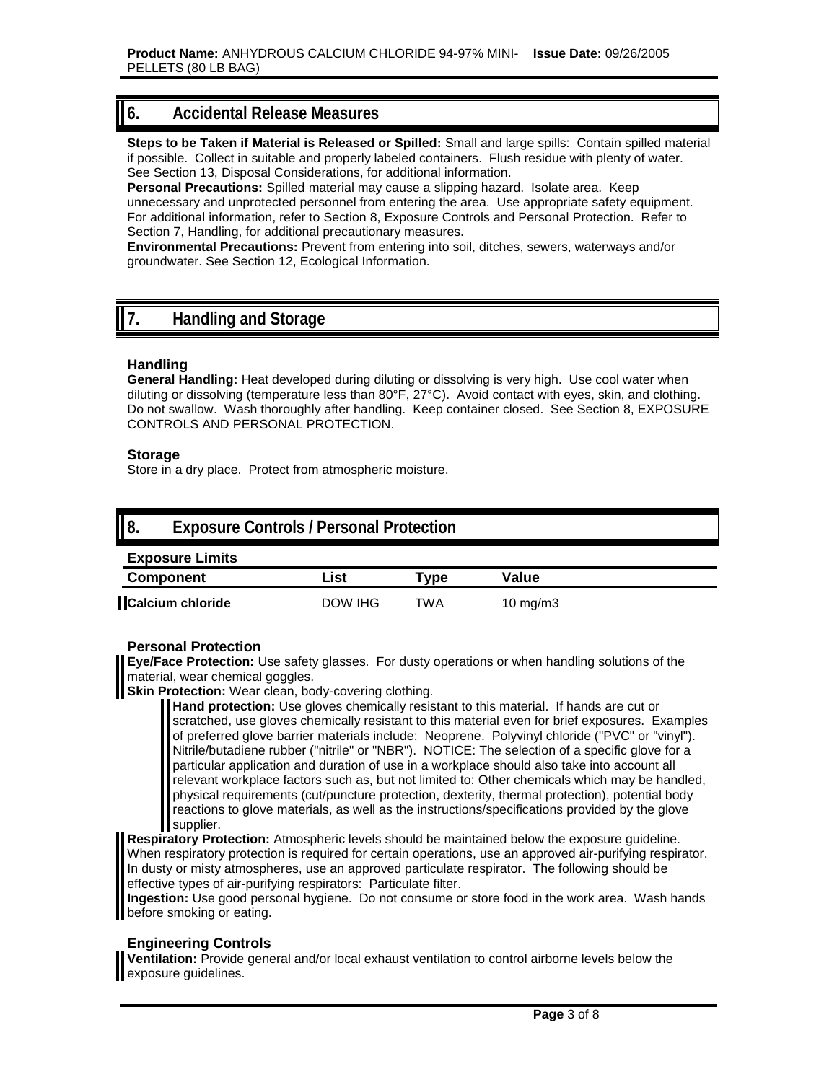## **6. Accidental Release Measures**

**Steps to be Taken if Material is Released or Spilled:** Small and large spills: Contain spilled material if possible. Collect in suitable and properly labeled containers. Flush residue with plenty of water. See Section 13, Disposal Considerations, for additional information.

**Personal Precautions:** Spilled material may cause a slipping hazard. Isolate area. Keep unnecessary and unprotected personnel from entering the area. Use appropriate safety equipment. For additional information, refer to Section 8, Exposure Controls and Personal Protection. Refer to Section 7, Handling, for additional precautionary measures.

**Environmental Precautions:** Prevent from entering into soil, ditches, sewers, waterways and/or groundwater. See Section 12, Ecological Information.

## **7. Handling and Storage**

### **Handling**

**General Handling:** Heat developed during diluting or dissolving is very high. Use cool water when diluting or dissolving (temperature less than 80°F, 27°C). Avoid contact with eyes, skin, and clothing. Do not swallow. Wash thoroughly after handling. Keep container closed. See Section 8, EXPOSURE CONTROLS AND PERSONAL PROTECTION.

### **Storage**

Store in a dry place. Protect from atmospheric moisture.

| II 8. | <b>Exposure Controls / Personal Protection</b> |
|-------|------------------------------------------------|
|       | Evnocura Limita                                |

| LANUSUIT LIIIIIIS |         |        |             |
|-------------------|---------|--------|-------------|
| <b>Component</b>  | ∟ist    | Type . | Value       |
| Calcium chloride  | DOW IHG | TWA    | 10 mg/m $3$ |

### **Personal Protection**

**Eye/Face Protection:** Use safety glasses. For dusty operations or when handling solutions of the material, wear chemical goggles.

**Skin Protection:** Wear clean, body-covering clothing.

**Hand protection:** Use gloves chemically resistant to this material. If hands are cut or scratched, use gloves chemically resistant to this material even for brief exposures. Examples of preferred glove barrier materials include: Neoprene. Polyvinyl chloride ("PVC" or "vinyl"). Nitrile/butadiene rubber ("nitrile" or "NBR"). NOTICE: The selection of a specific glove for a particular application and duration of use in a workplace should also take into account all relevant workplace factors such as, but not limited to: Other chemicals which may be handled, physical requirements (cut/puncture protection, dexterity, thermal protection), potential body reactions to glove materials, as well as the instructions/specifications provided by the glove supplier.

**Respiratory Protection:** Atmospheric levels should be maintained below the exposure guideline. When respiratory protection is required for certain operations, use an approved air-purifying respirator. In dusty or misty atmospheres, use an approved particulate respirator. The following should be effective types of air-purifying respirators: Particulate filter.

**Ingestion:** Use good personal hygiene. Do not consume or store food in the work area. Wash hands before smoking or eating.

### **Engineering Controls**

**Ventilation:** Provide general and/or local exhaust ventilation to control airborne levels below the exposure guidelines.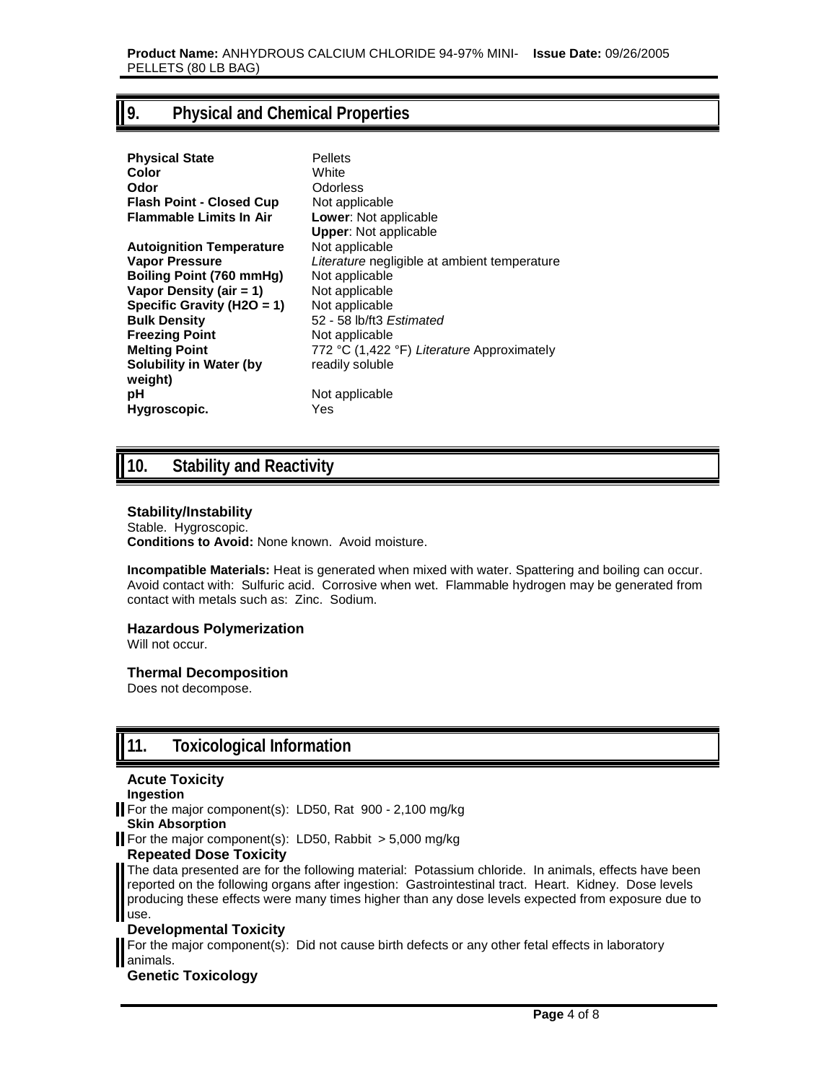## **9. Physical and Chemical Properties**

| <b>Physical State</b><br>Color          | <b>Pellets</b><br>White<br>Odorless          |
|-----------------------------------------|----------------------------------------------|
| Odor<br><b>Flash Point - Closed Cup</b> | Not applicable                               |
| <b>Flammable Limits In Air</b>          | <b>Lower: Not applicable</b>                 |
|                                         | <b>Upper:</b> Not applicable                 |
| <b>Autoignition Temperature</b>         | Not applicable                               |
| Vapor Pressure                          | Literature negligible at ambient temperature |
| Boiling Point (760 mmHg)                | Not applicable                               |
| Vapor Density (air $= 1$ )              | Not applicable                               |
| Specific Gravity (H2O = 1)              | Not applicable                               |
| <b>Bulk Density</b>                     | 52 - 58 lb/ft3 Estimated                     |
| <b>Freezing Point</b>                   | Not applicable                               |
| <b>Melting Point</b>                    | 772 °C (1,422 °F) Literature Approximately   |
| <b>Solubility in Water (by</b>          | readily soluble                              |
| weight)                                 |                                              |
| рH                                      | Not applicable                               |
| Hygroscopic.                            | Yes                                          |
|                                         |                                              |

## **10. Stability and Reactivity**

#### **Stability/Instability**

Stable. Hygroscopic. **Conditions to Avoid:** None known. Avoid moisture.

**Incompatible Materials:** Heat is generated when mixed with water. Spattering and boiling can occur. Avoid contact with: Sulfuric acid. Corrosive when wet. Flammable hydrogen may be generated from contact with metals such as: Zinc. Sodium.

#### **Hazardous Polymerization**

Will not occur.

### **Thermal Decomposition**

Does not decompose.

## **11. Toxicological Information**

#### **Acute Toxicity**

#### **Ingestion**

For the major component(s): LD50, Rat 900 - 2,100 mg/kg

#### **Skin Absorption**

For the major component(s): LD50, Rabbit  $> 5,000$  mg/kg

#### **Repeated Dose Toxicity**

The data presented are for the following material: Potassium chloride. In animals, effects have been reported on the following organs after ingestion: Gastrointestinal tract. Heart. Kidney. Dose levels producing these effects were many times higher than any dose levels expected from exposure due to use.

#### **Developmental Toxicity**

For the major component(s): Did not cause birth defects or any other fetal effects in laboratory animals.

#### **Genetic Toxicology**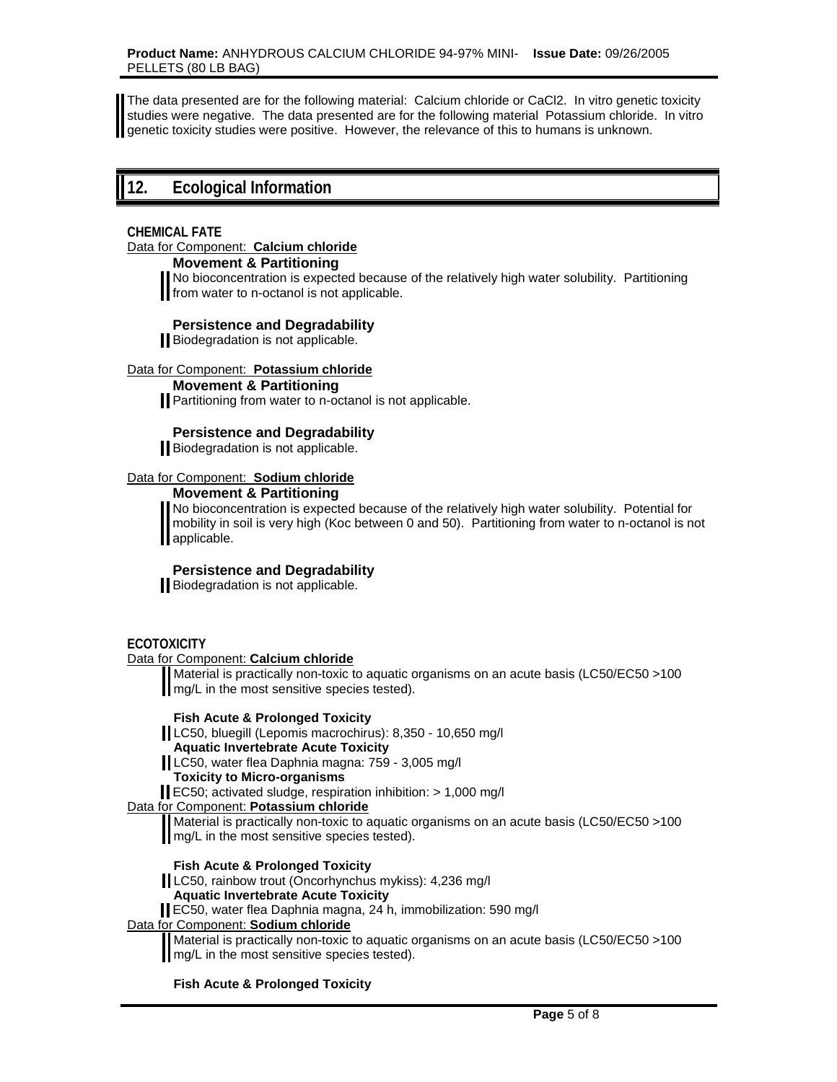The data presented are for the following material: Calcium chloride or CaCl2. In vitro genetic toxicity studies were negative. The data presented are for the following material Potassium chloride. In vitro genetic toxicity studies were positive. However, the relevance of this to humans is unknown.

## **12. Ecological Information**

#### **CHEMICAL FATE**

Data for Component: **Calcium chloride**

#### **Movement & Partitioning**

No bioconcentration is expected because of the relatively high water solubility. Partitioning from water to n-octanol is not applicable.

### **Persistence and Degradability**

Biodegradation is not applicable.

#### Data for Component: **Potassium chloride**

**Movement & Partitioning** 

**Partitioning from water to n-octanol is not applicable.** 

### **Persistence and Degradability**

Biodegradation is not applicable.

#### Data for Component: **Sodium chloride**

**Movement & Partitioning** 

No bioconcentration is expected because of the relatively high water solubility. Potential for mobility in soil is very high (Koc between 0 and 50). Partitioning from water to n-octanol is not applicable.

### **Persistence and Degradability**

Biodegradation is not applicable.

#### **ECOTOXICITY**

Data for Component: **Calcium chloride**

Material is practically non-toxic to aquatic organisms on an acute basis (LC50/EC50 >100 **mg/L** in the most sensitive species tested).

#### **Fish Acute & Prolonged Toxicity**

LC50, bluegill (Lepomis macrochirus): 8,350 - 10,650 mg/l

#### **Aquatic Invertebrate Acute Toxicity**

LC50, water flea Daphnia magna: 759 - 3,005 mg/l

**Toxicity to Micro-organisms** 

EC50; activated sludge, respiration inhibition: > 1,000 mg/l

#### Data for Component: **Potassium chloride**

Material is practically non-toxic to aquatic organisms on an acute basis (LC50/EC50 >100 **mg/L** in the most sensitive species tested).

#### **Fish Acute & Prolonged Toxicity**

LC50, rainbow trout (Oncorhynchus mykiss): 4,236 mg/l

#### **Aquatic Invertebrate Acute Toxicity**

EC50, water flea Daphnia magna, 24 h, immobilization: 590 mg/l

### Data for Component: **Sodium chloride**

Material is practically non-toxic to aquatic organisms on an acute basis (LC50/EC50 >100 **mg/L** in the most sensitive species tested).

#### **Fish Acute & Prolonged Toxicity**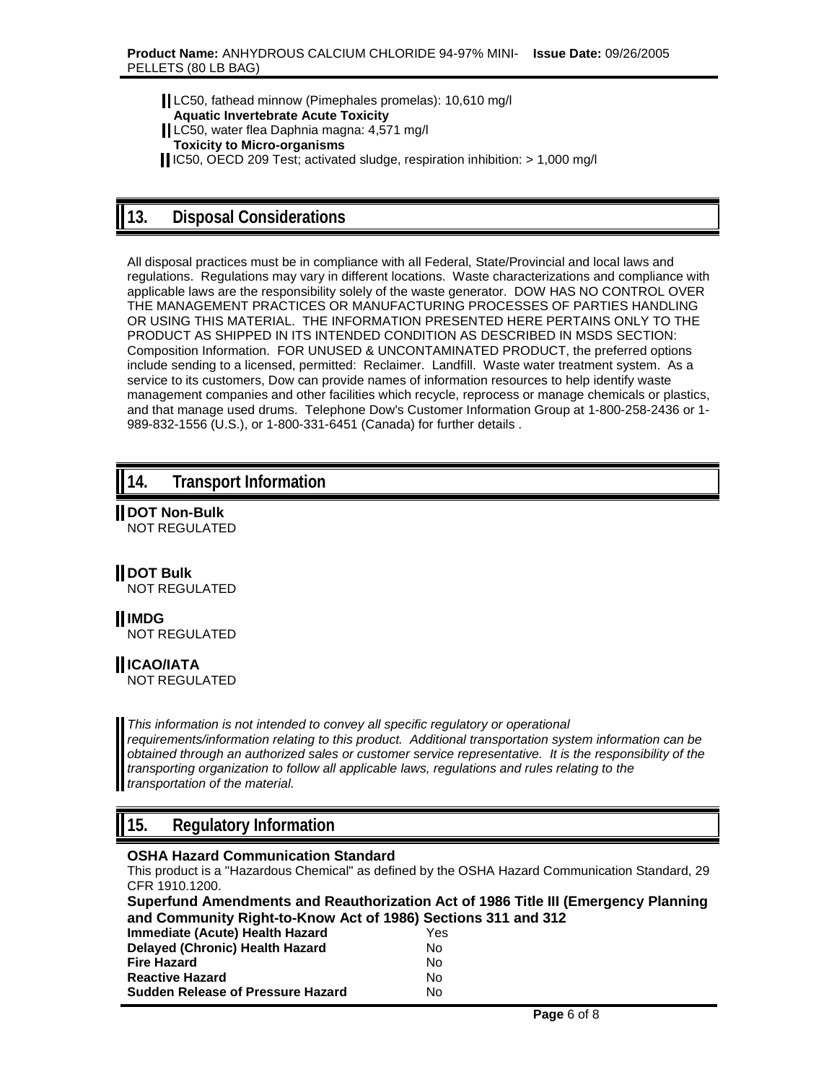LC50, fathead minnow (Pimephales promelas): 10,610 mg/l **Aquatic Invertebrate Acute Toxicity**  LC50, water flea Daphnia magna: 4,571 mg/l **Toxicity to Micro-organisms**  IC50, OECD 209 Test; activated sludge, respiration inhibition: > 1,000 mg/l

## **13. Disposal Considerations**

All disposal practices must be in compliance with all Federal, State/Provincial and local laws and regulations. Regulations may vary in different locations. Waste characterizations and compliance with applicable laws are the responsibility solely of the waste generator. DOW HAS NO CONTROL OVER THE MANAGEMENT PRACTICES OR MANUFACTURING PROCESSES OF PARTIES HANDLING OR USING THIS MATERIAL. THE INFORMATION PRESENTED HERE PERTAINS ONLY TO THE PRODUCT AS SHIPPED IN ITS INTENDED CONDITION AS DESCRIBED IN MSDS SECTION: Composition Information. FOR UNUSED & UNCONTAMINATED PRODUCT, the preferred options include sending to a licensed, permitted: Reclaimer. Landfill. Waste water treatment system. As a service to its customers, Dow can provide names of information resources to help identify waste management companies and other facilities which recycle, reprocess or manage chemicals or plastics, and that manage used drums. Telephone Dow's Customer Information Group at 1-800-258-2436 or 1- 989-832-1556 (U.S.), or 1-800-331-6451 (Canada) for further details .

## **14. Transport Information**

**DOT Non-Bulk** NOT REGULATED

### **HDOT Bulk**

NOT REGULATED

**IMDG**

NOT REGULATED

## **ICAO/IATA**

NOT REGULATED

*This information is not intended to convey all specific regulatory or operational requirements/information relating to this product. Additional transportation system information can be obtained through an authorized sales or customer service representative. It is the responsibility of the transporting organization to follow all applicable laws, regulations and rules relating to the transportation of the material.*

## **15. Regulatory Information**

### **OSHA Hazard Communication Standard**

This product is a "Hazardous Chemical" as defined by the OSHA Hazard Communication Standard, 29 CFR 1910.1200.

|                                                               | Superfund Amendments and Reauthorization Act of 1986 Title III (Emergency Planning |  |
|---------------------------------------------------------------|------------------------------------------------------------------------------------|--|
| and Community Right-to-Know Act of 1986) Sections 311 and 312 |                                                                                    |  |
| Immediate (Acute) Health Hazard                               | Yes                                                                                |  |
| Delaved (Chronic) Health Hazard                               | No.                                                                                |  |

| Fire Hazard                       | N٥  |
|-----------------------------------|-----|
| <b>Reactive Hazard</b>            | N٥  |
| Sudden Release of Pressure Hazard | No. |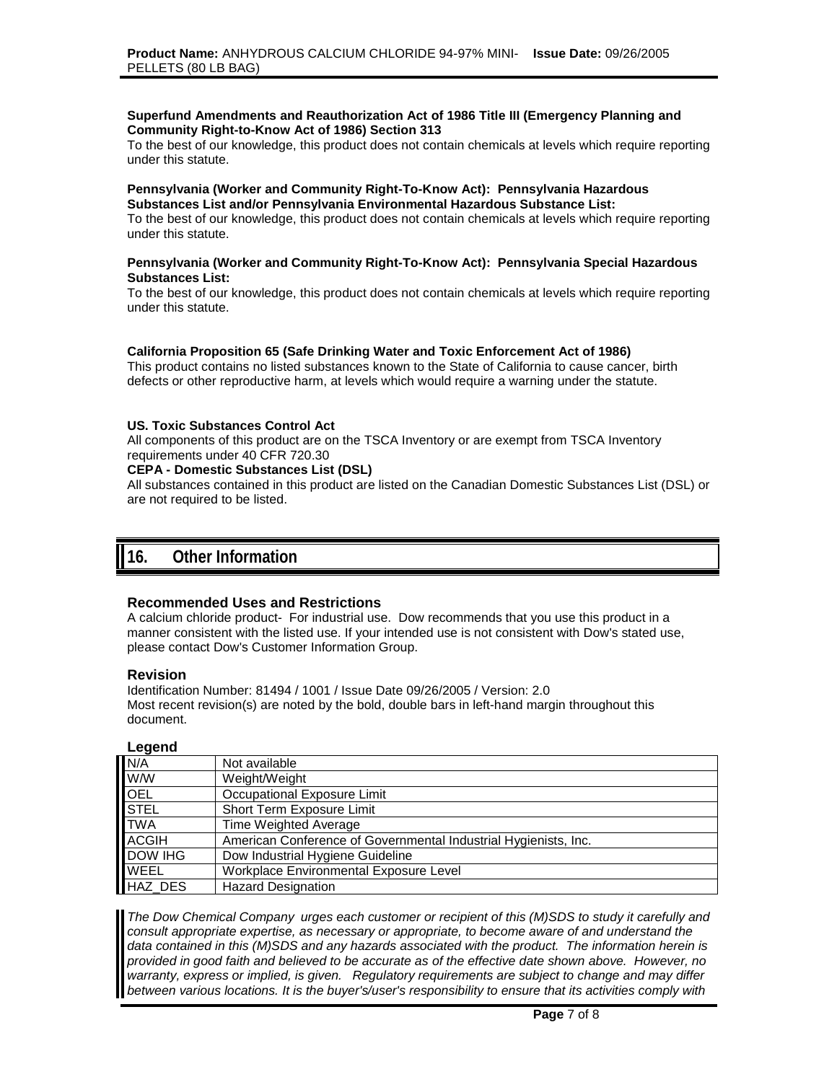#### **Superfund Amendments and Reauthorization Act of 1986 Title III (Emergency Planning and Community Right-to-Know Act of 1986) Section 313**

To the best of our knowledge, this product does not contain chemicals at levels which require reporting under this statute.

#### **Pennsylvania (Worker and Community Right-To-Know Act): Pennsylvania Hazardous Substances List and/or Pennsylvania Environmental Hazardous Substance List:**

To the best of our knowledge, this product does not contain chemicals at levels which require reporting under this statute.

#### **Pennsylvania (Worker and Community Right-To-Know Act): Pennsylvania Special Hazardous Substances List:**

To the best of our knowledge, this product does not contain chemicals at levels which require reporting under this statute.

#### **California Proposition 65 (Safe Drinking Water and Toxic Enforcement Act of 1986)**

This product contains no listed substances known to the State of California to cause cancer, birth defects or other reproductive harm, at levels which would require a warning under the statute.

#### **US. Toxic Substances Control Act**

All components of this product are on the TSCA Inventory or are exempt from TSCA Inventory requirements under 40 CFR 720.30

#### **CEPA - Domestic Substances List (DSL)**

All substances contained in this product are listed on the Canadian Domestic Substances List (DSL) or are not required to be listed.

### **16. Other Information**

#### **Recommended Uses and Restrictions**

A calcium chloride product- For industrial use. Dow recommends that you use this product in a manner consistent with the listed use. If your intended use is not consistent with Dow's stated use, please contact Dow's Customer Information Group.

#### **Revision**

Identification Number: 81494 / 1001 / Issue Date 09/26/2005 / Version: 2.0 Most recent revision(s) are noted by the bold, double bars in left-hand margin throughout this document.

#### **Legend**

| N/A            | Not available                                                   |
|----------------|-----------------------------------------------------------------|
| <b>WW</b>      | Weight/Weight                                                   |
| <b>OEL</b>     | Occupational Exposure Limit                                     |
| <b>STEL</b>    | Short Term Exposure Limit                                       |
| <b>TWA</b>     | Time Weighted Average                                           |
| <b>ACGIH</b>   | American Conference of Governmental Industrial Hygienists, Inc. |
| <b>DOW IHG</b> | Dow Industrial Hygiene Guideline                                |
| WEEL           | Workplace Environmental Exposure Level                          |
| HAZ DES        | <b>Hazard Designation</b>                                       |

*The Dow Chemical Company urges each customer or recipient of this (M)SDS to study it carefully and consult appropriate expertise, as necessary or appropriate, to become aware of and understand the data contained in this (M)SDS and any hazards associated with the product. The information herein is provided in good faith and believed to be accurate as of the effective date shown above. However, no warranty, express or implied, is given. Regulatory requirements are subject to change and may differ between various locations. It is the buyer's/user's responsibility to ensure that its activities comply with*